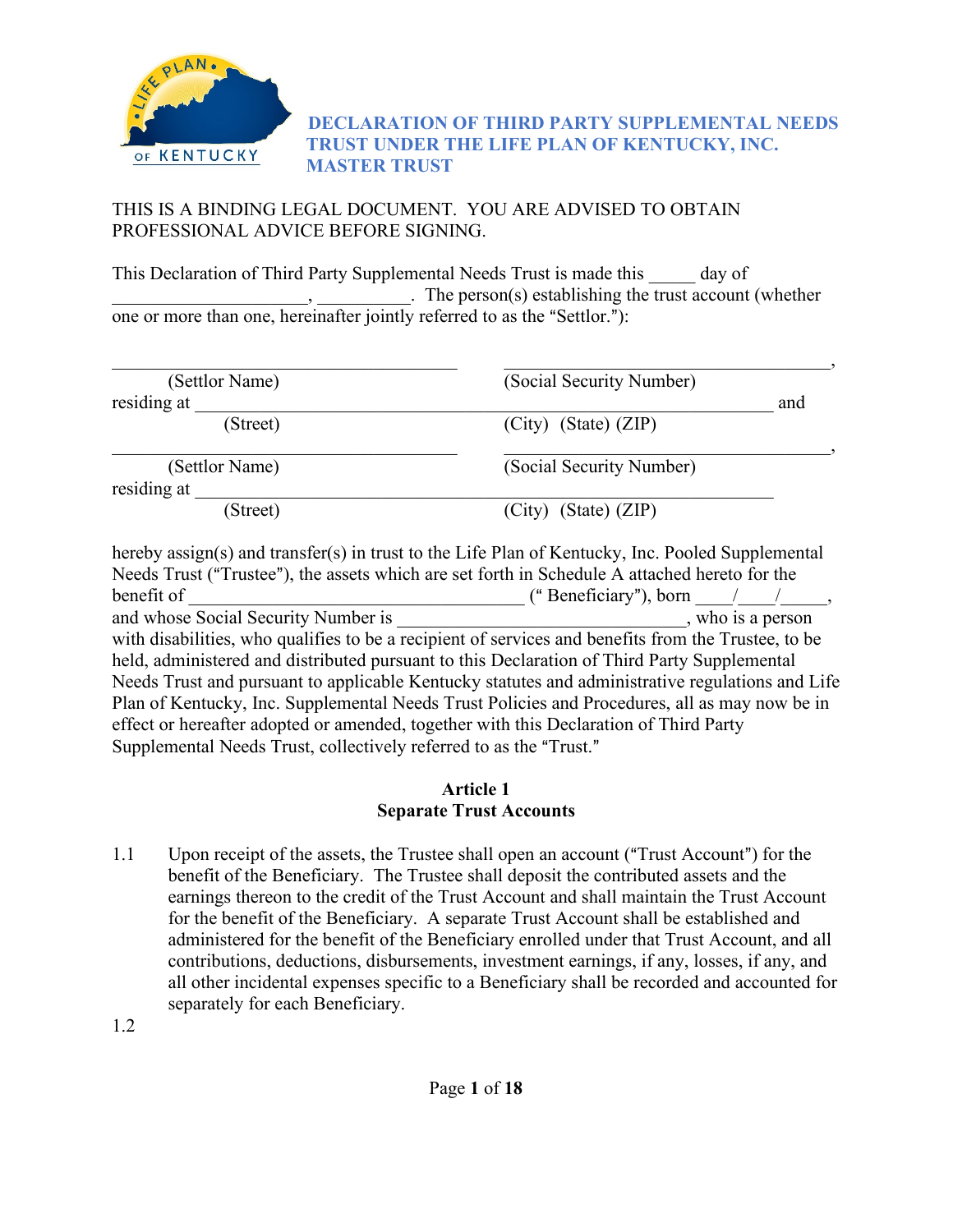

### **DECLARATION OF THIRD PARTY SUPPLEMENTAL NEEDS TRUST UNDER THE LIFE PLAN OF KENTUCKY, INC. MASTER TRUST**

### THIS IS A BINDING LEGAL DOCUMENT. YOU ARE ADVISED TO OBTAIN PROFESSIONAL ADVICE BEFORE SIGNING.

This Declaration of Third Party Supplemental Needs Trust is made this day of  $\therefore$  The person(s) establishing the trust account (whether one or more than one, hereinafter jointly referred to as the "Settlor."):

| (Settlor Name)                | (Social Security Number) |     |
|-------------------------------|--------------------------|-----|
| residing at                   |                          | and |
| (Street)                      | $(City)$ (State) $(ZIP)$ |     |
| (Settlor Name)<br>residing at | (Social Security Number) |     |
| (Street)                      | $(City)$ (State) $(ZIP)$ |     |

hereby assign(s) and transfer(s) in trust to the Life Plan of Kentucky, Inc. Pooled Supplemental Needs Trust ("Trustee"), the assets which are set forth in Schedule A attached hereto for the benefit of <br>  $\qquad \qquad$  ("Beneficiary"), born and whose Social Security Number is  $\hspace{1cm}$ , who is a person with disabilities, who qualifies to be a recipient of services and benefits from the Trustee, to be held, administered and distributed pursuant to this Declaration of Third Party Supplemental Needs Trust and pursuant to applicable Kentucky statutes and administrative regulations and Life Plan of Kentucky, Inc. Supplemental Needs Trust Policies and Procedures, all as may now be in effect or hereafter adopted or amended, together with this Declaration of Third Party Supplemental Needs Trust, collectively referred to as the "Trust."

#### **Article 1 Separate Trust Accounts**

1.1 Upon receipt of the assets, the Trustee shall open an account ("Trust Account") for the benefit of the Beneficiary. The Trustee shall deposit the contributed assets and the earnings thereon to the credit of the Trust Account and shall maintain the Trust Account for the benefit of the Beneficiary. A separate Trust Account shall be established and administered for the benefit of the Beneficiary enrolled under that Trust Account, and all contributions, deductions, disbursements, investment earnings, if any, losses, if any, and all other incidental expenses specific to a Beneficiary shall be recorded and accounted for separately for each Beneficiary.

1.2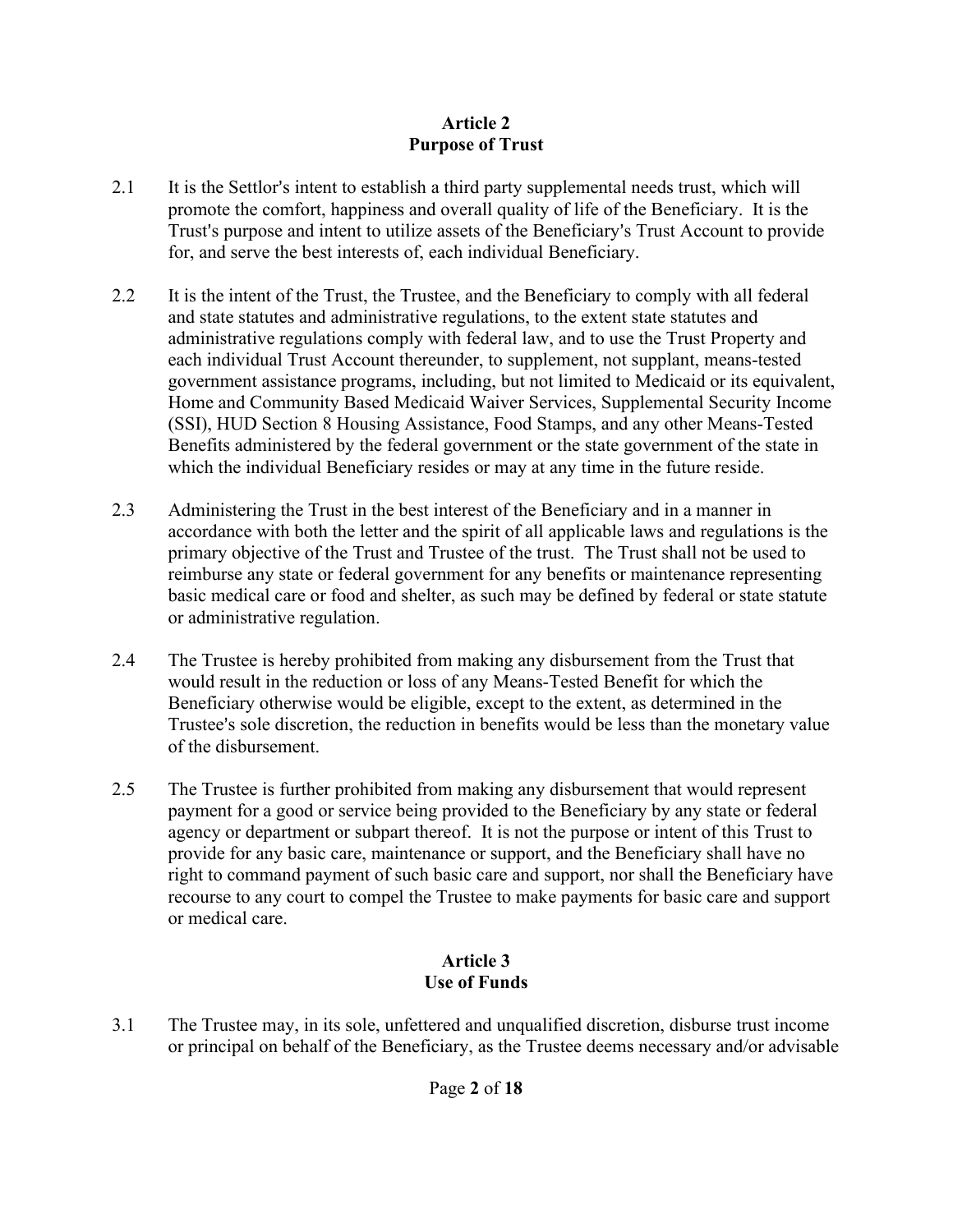## **Article 2 Purpose of Trust**

- 2.1 It is the Settlor's intent to establish a third party supplemental needs trust, which will promote the comfort, happiness and overall quality of life of the Beneficiary. It is the Trust's purpose and intent to utilize assets of the Beneficiary's Trust Account to provide for, and serve the best interests of, each individual Beneficiary.
- 2.2 It is the intent of the Trust, the Trustee, and the Beneficiary to comply with all federal and state statutes and administrative regulations, to the extent state statutes and administrative regulations comply with federal law, and to use the Trust Property and each individual Trust Account thereunder, to supplement, not supplant, means-tested government assistance programs, including, but not limited to Medicaid or its equivalent, Home and Community Based Medicaid Waiver Services, Supplemental Security Income (SSI), HUD Section 8 Housing Assistance, Food Stamps, and any other Means-Tested Benefits administered by the federal government or the state government of the state in which the individual Beneficiary resides or may at any time in the future reside.
- 2.3 Administering the Trust in the best interest of the Beneficiary and in a manner in accordance with both the letter and the spirit of all applicable laws and regulations is the primary objective of the Trust and Trustee of the trust. The Trust shall not be used to reimburse any state or federal government for any benefits or maintenance representing basic medical care or food and shelter, as such may be defined by federal or state statute or administrative regulation.
- 2.4 The Trustee is hereby prohibited from making any disbursement from the Trust that would result in the reduction or loss of any Means-Tested Benefit for which the Beneficiary otherwise would be eligible, except to the extent, as determined in the Trustee's sole discretion, the reduction in benefits would be less than the monetary value of the disbursement.
- 2.5 The Trustee is further prohibited from making any disbursement that would represent payment for a good or service being provided to the Beneficiary by any state or federal agency or department or subpart thereof. It is not the purpose or intent of this Trust to provide for any basic care, maintenance or support, and the Beneficiary shall have no right to command payment of such basic care and support, nor shall the Beneficiary have recourse to any court to compel the Trustee to make payments for basic care and support or medical care.

## **Article 3 Use of Funds**

3.1 The Trustee may, in its sole, unfettered and unqualified discretion, disburse trust income or principal on behalf of the Beneficiary, as the Trustee deems necessary and/or advisable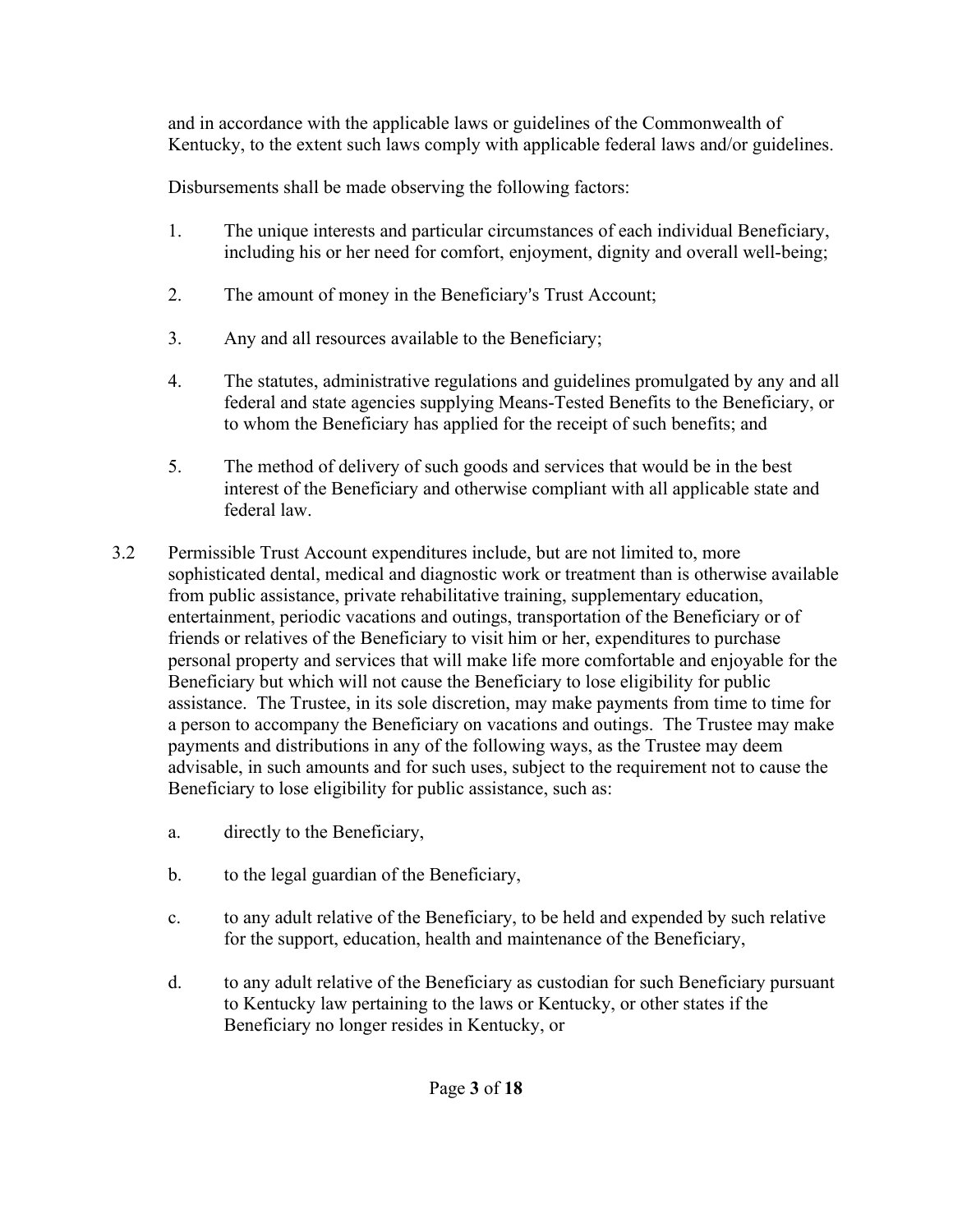and in accordance with the applicable laws or guidelines of the Commonwealth of Kentucky, to the extent such laws comply with applicable federal laws and/or guidelines.

Disbursements shall be made observing the following factors:

- 1. The unique interests and particular circumstances of each individual Beneficiary, including his or her need for comfort, enjoyment, dignity and overall well-being;
- 2. The amount of money in the Beneficiary's Trust Account;
- 3. Any and all resources available to the Beneficiary;
- 4. The statutes, administrative regulations and guidelines promulgated by any and all federal and state agencies supplying Means-Tested Benefits to the Beneficiary, or to whom the Beneficiary has applied for the receipt of such benefits; and
- 5. The method of delivery of such goods and services that would be in the best interest of the Beneficiary and otherwise compliant with all applicable state and federal law.
- 3.2 Permissible Trust Account expenditures include, but are not limited to, more sophisticated dental, medical and diagnostic work or treatment than is otherwise available from public assistance, private rehabilitative training, supplementary education, entertainment, periodic vacations and outings, transportation of the Beneficiary or of friends or relatives of the Beneficiary to visit him or her, expenditures to purchase personal property and services that will make life more comfortable and enjoyable for the Beneficiary but which will not cause the Beneficiary to lose eligibility for public assistance. The Trustee, in its sole discretion, may make payments from time to time for a person to accompany the Beneficiary on vacations and outings. The Trustee may make payments and distributions in any of the following ways, as the Trustee may deem advisable, in such amounts and for such uses, subject to the requirement not to cause the Beneficiary to lose eligibility for public assistance, such as:
	- a. directly to the Beneficiary,
	- b. to the legal guardian of the Beneficiary,
	- c. to any adult relative of the Beneficiary, to be held and expended by such relative for the support, education, health and maintenance of the Beneficiary,
	- d. to any adult relative of the Beneficiary as custodian for such Beneficiary pursuant to Kentucky law pertaining to the laws or Kentucky, or other states if the Beneficiary no longer resides in Kentucky, or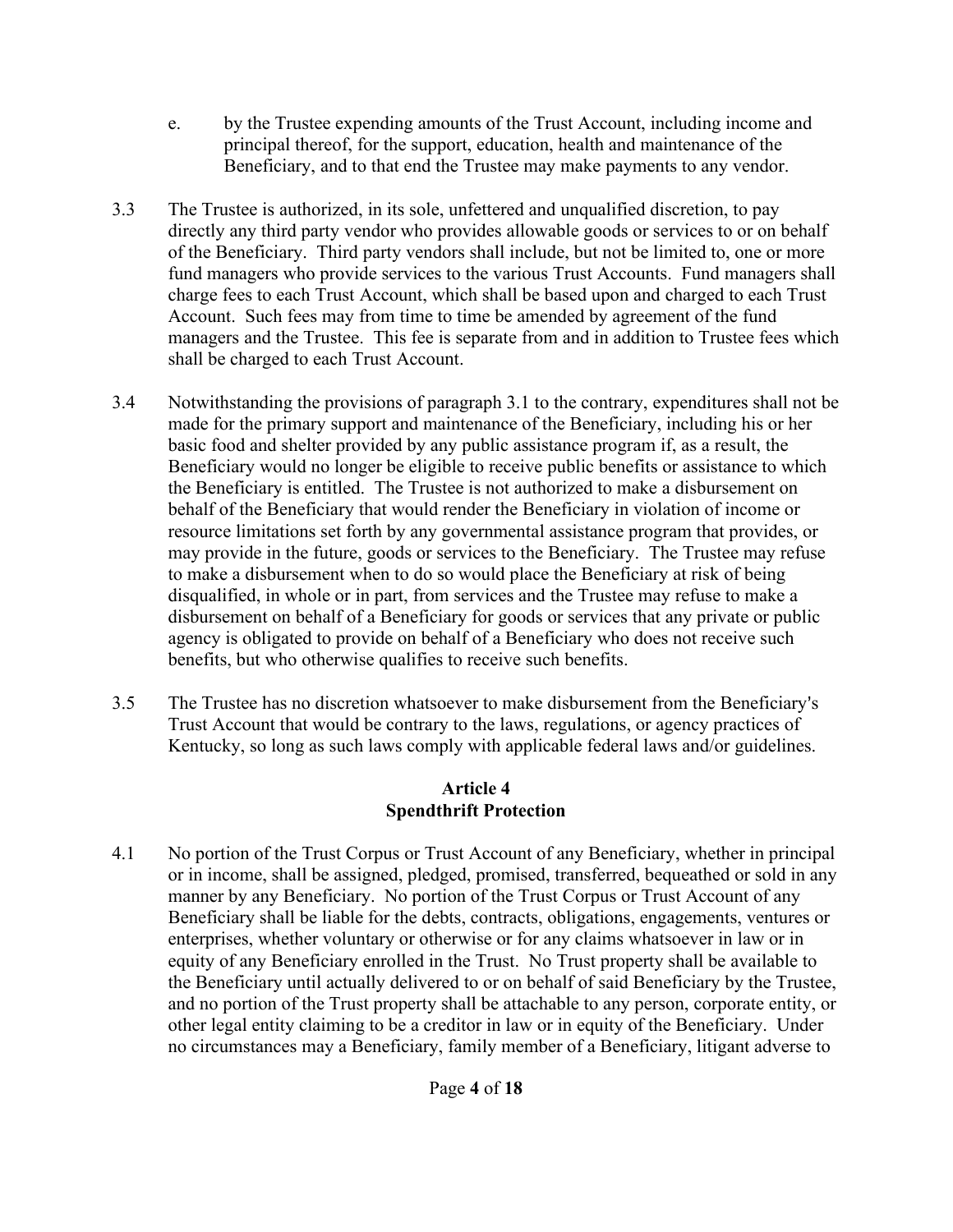- e. by the Trustee expending amounts of the Trust Account, including income and principal thereof, for the support, education, health and maintenance of the Beneficiary, and to that end the Trustee may make payments to any vendor.
- 3.3 The Trustee is authorized, in its sole, unfettered and unqualified discretion, to pay directly any third party vendor who provides allowable goods or services to or on behalf of the Beneficiary. Third party vendors shall include, but not be limited to, one or more fund managers who provide services to the various Trust Accounts. Fund managers shall charge fees to each Trust Account, which shall be based upon and charged to each Trust Account. Such fees may from time to time be amended by agreement of the fund managers and the Trustee. This fee is separate from and in addition to Trustee fees which shall be charged to each Trust Account.
- 3.4 Notwithstanding the provisions of paragraph 3.1 to the contrary, expenditures shall not be made for the primary support and maintenance of the Beneficiary, including his or her basic food and shelter provided by any public assistance program if, as a result, the Beneficiary would no longer be eligible to receive public benefits or assistance to which the Beneficiary is entitled. The Trustee is not authorized to make a disbursement on behalf of the Beneficiary that would render the Beneficiary in violation of income or resource limitations set forth by any governmental assistance program that provides, or may provide in the future, goods or services to the Beneficiary. The Trustee may refuse to make a disbursement when to do so would place the Beneficiary at risk of being disqualified, in whole or in part, from services and the Trustee may refuse to make a disbursement on behalf of a Beneficiary for goods or services that any private or public agency is obligated to provide on behalf of a Beneficiary who does not receive such benefits, but who otherwise qualifies to receive such benefits.
- 3.5 The Trustee has no discretion whatsoever to make disbursement from the Beneficiary's Trust Account that would be contrary to the laws, regulations, or agency practices of Kentucky, so long as such laws comply with applicable federal laws and/or guidelines.

## **Article 4 Spendthrift Protection**

4.1 No portion of the Trust Corpus or Trust Account of any Beneficiary, whether in principal or in income, shall be assigned, pledged, promised, transferred, bequeathed or sold in any manner by any Beneficiary. No portion of the Trust Corpus or Trust Account of any Beneficiary shall be liable for the debts, contracts, obligations, engagements, ventures or enterprises, whether voluntary or otherwise or for any claims whatsoever in law or in equity of any Beneficiary enrolled in the Trust. No Trust property shall be available to the Beneficiary until actually delivered to or on behalf of said Beneficiary by the Trustee, and no portion of the Trust property shall be attachable to any person, corporate entity, or other legal entity claiming to be a creditor in law or in equity of the Beneficiary. Under no circumstances may a Beneficiary, family member of a Beneficiary, litigant adverse to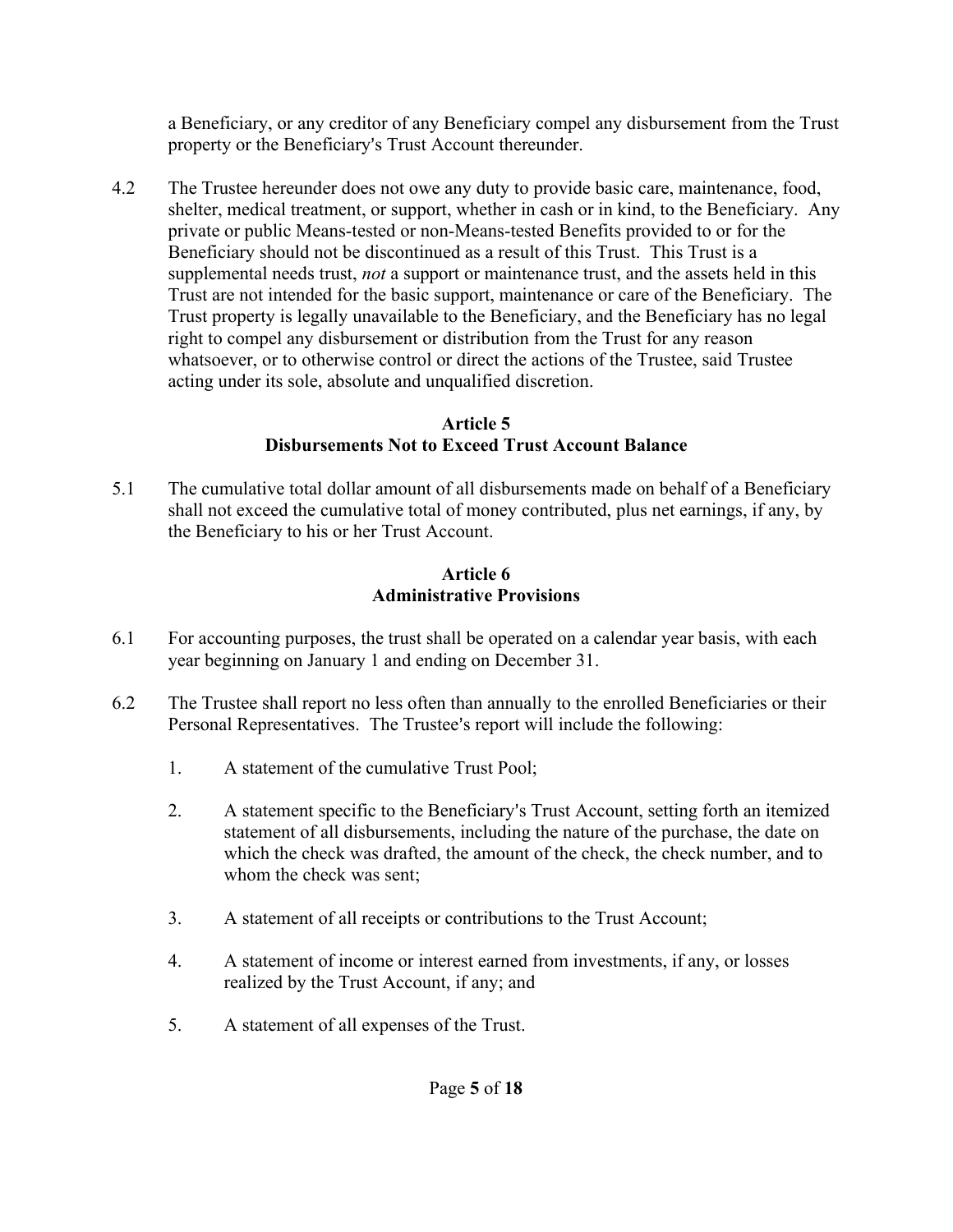a Beneficiary, or any creditor of any Beneficiary compel any disbursement from the Trust property or the Beneficiary's Trust Account thereunder.

4.2 The Trustee hereunder does not owe any duty to provide basic care, maintenance, food, shelter, medical treatment, or support, whether in cash or in kind, to the Beneficiary. Any private or public Means-tested or non-Means-tested Benefits provided to or for the Beneficiary should not be discontinued as a result of this Trust. This Trust is a supplemental needs trust, *not* a support or maintenance trust, and the assets held in this Trust are not intended for the basic support, maintenance or care of the Beneficiary. The Trust property is legally unavailable to the Beneficiary, and the Beneficiary has no legal right to compel any disbursement or distribution from the Trust for any reason whatsoever, or to otherwise control or direct the actions of the Trustee, said Trustee acting under its sole, absolute and unqualified discretion.

## **Article 5 Disbursements Not to Exceed Trust Account Balance**

5.1 The cumulative total dollar amount of all disbursements made on behalf of a Beneficiary shall not exceed the cumulative total of money contributed, plus net earnings, if any, by the Beneficiary to his or her Trust Account.

## **Article 6 Administrative Provisions**

- 6.1 For accounting purposes, the trust shall be operated on a calendar year basis, with each year beginning on January 1 and ending on December 31.
- 6.2 The Trustee shall report no less often than annually to the enrolled Beneficiaries or their Personal Representatives. The Trustee's report will include the following:
	- 1. A statement of the cumulative Trust Pool;
	- 2. A statement specific to the Beneficiary's Trust Account, setting forth an itemized statement of all disbursements, including the nature of the purchase, the date on which the check was drafted, the amount of the check, the check number, and to whom the check was sent;
	- 3. A statement of all receipts or contributions to the Trust Account;
	- 4. A statement of income or interest earned from investments, if any, or losses realized by the Trust Account, if any; and
	- 5. A statement of all expenses of the Trust.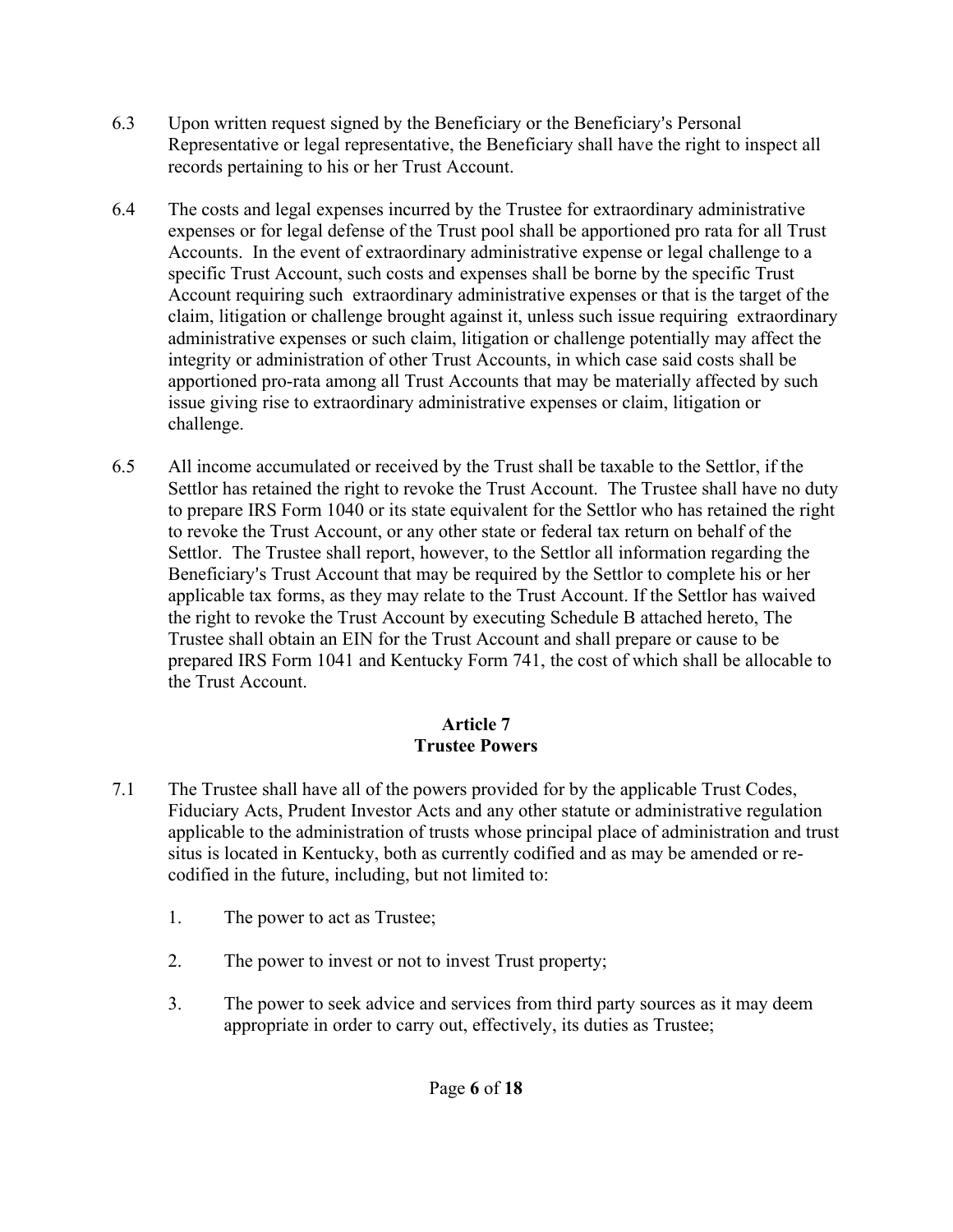- 6.3 Upon written request signed by the Beneficiary or the Beneficiary's Personal Representative or legal representative, the Beneficiary shall have the right to inspect all records pertaining to his or her Trust Account.
- 6.4 The costs and legal expenses incurred by the Trustee for extraordinary administrative expenses or for legal defense of the Trust pool shall be apportioned pro rata for all Trust Accounts. In the event of extraordinary administrative expense or legal challenge to a specific Trust Account, such costs and expenses shall be borne by the specific Trust Account requiring such extraordinary administrative expenses or that is the target of the claim, litigation or challenge brought against it, unless such issue requiring extraordinary administrative expenses or such claim, litigation or challenge potentially may affect the integrity or administration of other Trust Accounts, in which case said costs shall be apportioned pro-rata among all Trust Accounts that may be materially affected by such issue giving rise to extraordinary administrative expenses or claim, litigation or challenge.
- 6.5 All income accumulated or received by the Trust shall be taxable to the Settlor, if the Settlor has retained the right to revoke the Trust Account. The Trustee shall have no duty to prepare IRS Form 1040 or its state equivalent for the Settlor who has retained the right to revoke the Trust Account, or any other state or federal tax return on behalf of the Settlor. The Trustee shall report, however, to the Settlor all information regarding the Beneficiary's Trust Account that may be required by the Settlor to complete his or her applicable tax forms, as they may relate to the Trust Account. If the Settlor has waived the right to revoke the Trust Account by executing Schedule B attached hereto, The Trustee shall obtain an EIN for the Trust Account and shall prepare or cause to be prepared IRS Form 1041 and Kentucky Form 741, the cost of which shall be allocable to the Trust Account.

# **Article 7 Trustee Powers**

- 7.1 The Trustee shall have all of the powers provided for by the applicable Trust Codes, Fiduciary Acts, Prudent Investor Acts and any other statute or administrative regulation applicable to the administration of trusts whose principal place of administration and trust situs is located in Kentucky, both as currently codified and as may be amended or recodified in the future, including, but not limited to:
	- 1. The power to act as Trustee;
	- 2. The power to invest or not to invest Trust property;
	- 3. The power to seek advice and services from third party sources as it may deem appropriate in order to carry out, effectively, its duties as Trustee;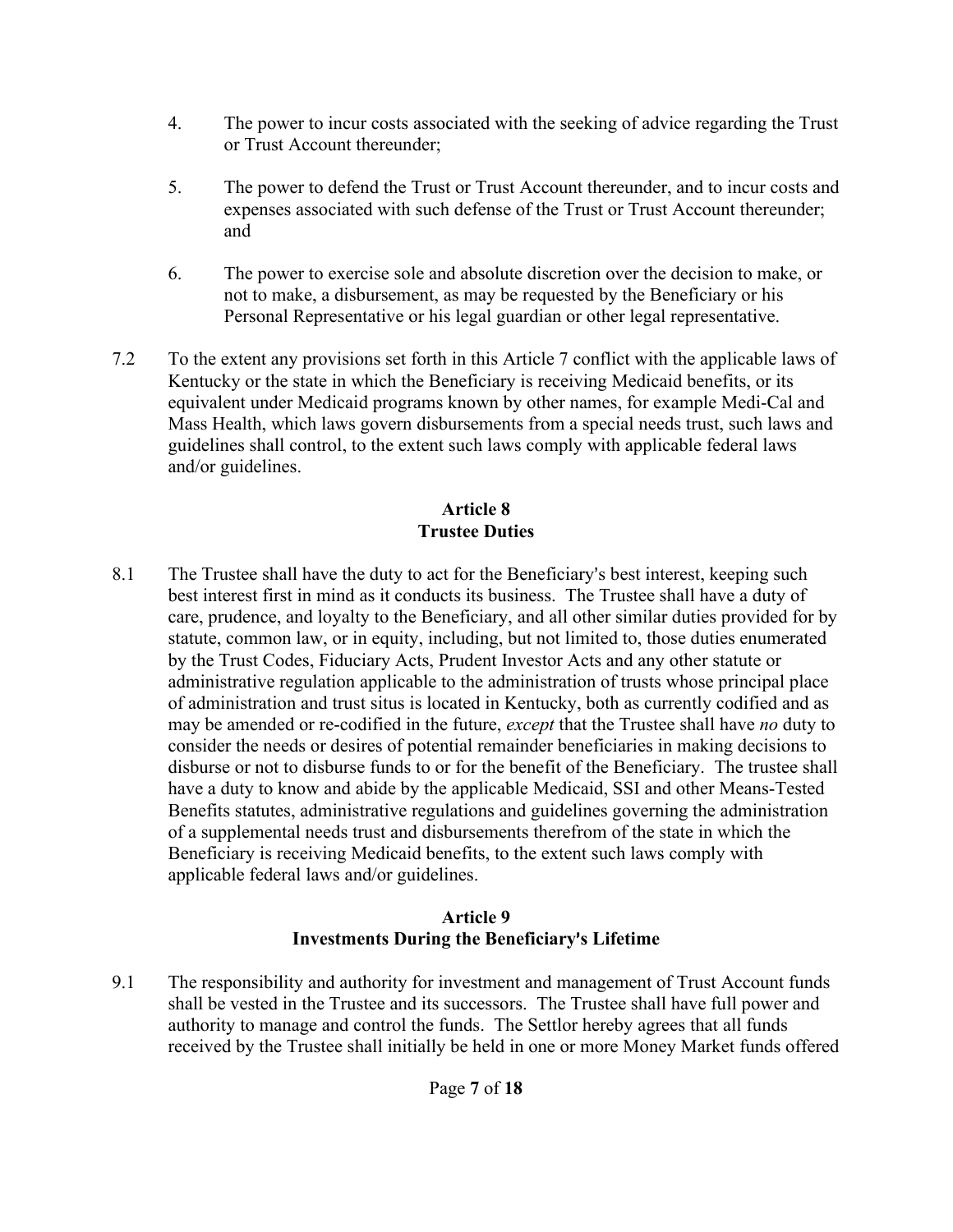- 4. The power to incur costs associated with the seeking of advice regarding the Trust or Trust Account thereunder;
- 5. The power to defend the Trust or Trust Account thereunder, and to incur costs and expenses associated with such defense of the Trust or Trust Account thereunder; and
- 6. The power to exercise sole and absolute discretion over the decision to make, or not to make, a disbursement, as may be requested by the Beneficiary or his Personal Representative or his legal guardian or other legal representative.
- 7.2 To the extent any provisions set forth in this Article 7 conflict with the applicable laws of Kentucky or the state in which the Beneficiary is receiving Medicaid benefits, or its equivalent under Medicaid programs known by other names, for example Medi-Cal and Mass Health, which laws govern disbursements from a special needs trust, such laws and guidelines shall control, to the extent such laws comply with applicable federal laws and/or guidelines.

# **Article 8 Trustee Duties**

8.1 The Trustee shall have the duty to act for the Beneficiary's best interest, keeping such best interest first in mind as it conducts its business. The Trustee shall have a duty of care, prudence, and loyalty to the Beneficiary, and all other similar duties provided for by statute, common law, or in equity, including, but not limited to, those duties enumerated by the Trust Codes, Fiduciary Acts, Prudent Investor Acts and any other statute or administrative regulation applicable to the administration of trusts whose principal place of administration and trust situs is located in Kentucky, both as currently codified and as may be amended or re-codified in the future, *except* that the Trustee shall have *no* duty to consider the needs or desires of potential remainder beneficiaries in making decisions to disburse or not to disburse funds to or for the benefit of the Beneficiary. The trustee shall have a duty to know and abide by the applicable Medicaid, SSI and other Means-Tested Benefits statutes, administrative regulations and guidelines governing the administration of a supplemental needs trust and disbursements therefrom of the state in which the Beneficiary is receiving Medicaid benefits, to the extent such laws comply with applicable federal laws and/or guidelines.

## **Article 9 Investments During the Beneficiary**=**s Lifetime**

9.1 The responsibility and authority for investment and management of Trust Account funds shall be vested in the Trustee and its successors. The Trustee shall have full power and authority to manage and control the funds. The Settlor hereby agrees that all funds received by the Trustee shall initially be held in one or more Money Market funds offered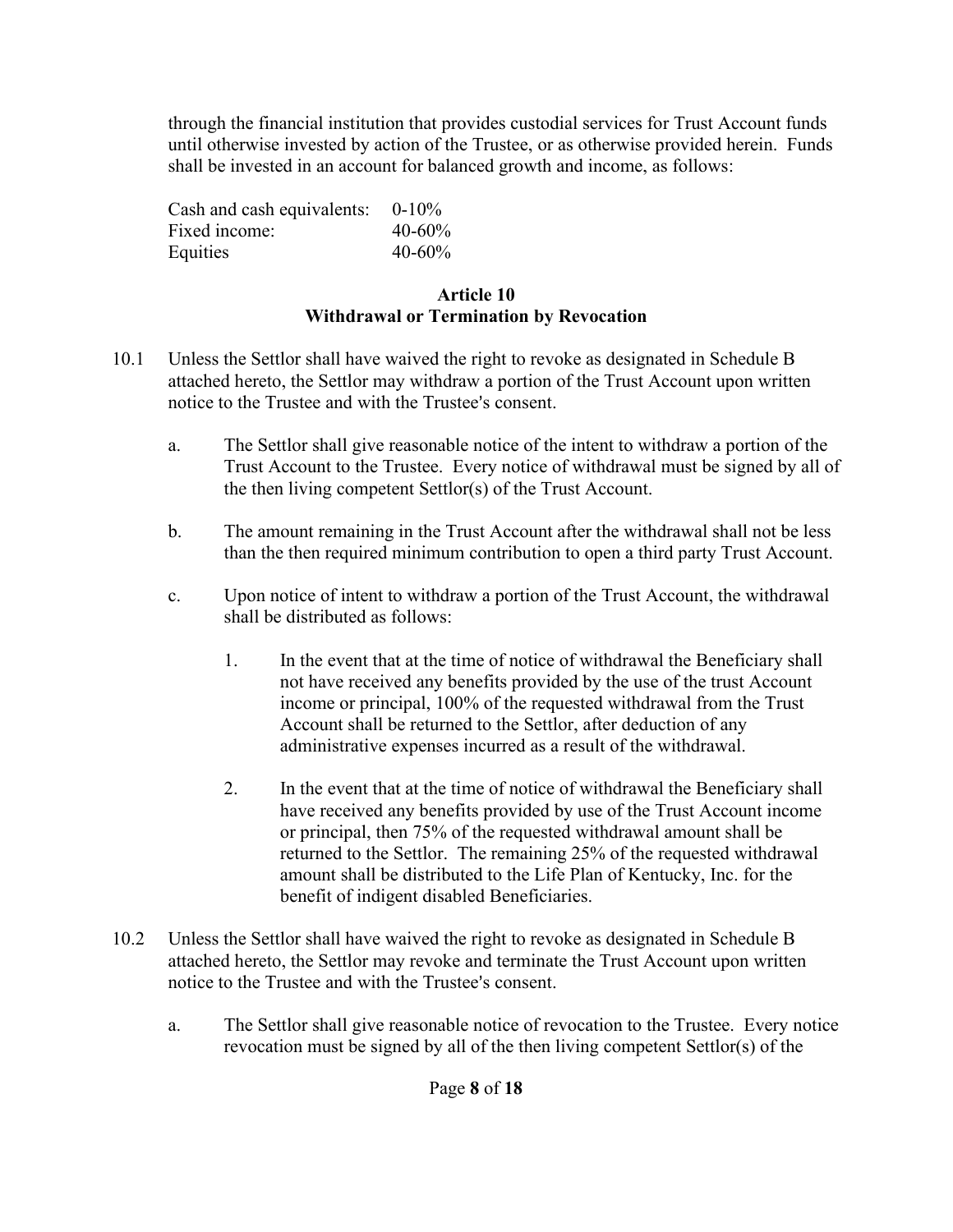through the financial institution that provides custodial services for Trust Account funds until otherwise invested by action of the Trustee, or as otherwise provided herein. Funds shall be invested in an account for balanced growth and income, as follows:

Cash and cash equivalents: 0-10% Fixed income: 40-60% Equities  $40-60%$ 

## **Article 10 Withdrawal or Termination by Revocation**

- 10.1Unless the Settlor shall have waived the right to revoke as designated in Schedule B attached hereto, the Settlor may withdraw a portion of the Trust Account upon written notice to the Trustee and with the Trustee's consent.
	- a. The Settlor shall give reasonable notice of the intent to withdraw a portion of the Trust Account to the Trustee. Every notice of withdrawal must be signed by all of the then living competent Settlor(s) of the Trust Account.
	- b. The amount remaining in the Trust Account after the withdrawal shall not be less than the then required minimum contribution to open a third party Trust Account.
	- c. Upon notice of intent to withdraw a portion of the Trust Account, the withdrawal shall be distributed as follows:
		- 1. In the event that at the time of notice of withdrawal the Beneficiary shall not have received any benefits provided by the use of the trust Account income or principal, 100% of the requested withdrawal from the Trust Account shall be returned to the Settlor, after deduction of any administrative expenses incurred as a result of the withdrawal.
		- 2. In the event that at the time of notice of withdrawal the Beneficiary shall have received any benefits provided by use of the Trust Account income or principal, then 75% of the requested withdrawal amount shall be returned to the Settlor. The remaining 25% of the requested withdrawal amount shall be distributed to the Life Plan of Kentucky, Inc. for the benefit of indigent disabled Beneficiaries.
- 10.2 Unless the Settlor shall have waived the right to revoke as designated in Schedule B attached hereto, the Settlor may revoke and terminate the Trust Account upon written notice to the Trustee and with the Trustee's consent.
	- a. The Settlor shall give reasonable notice of revocation to the Trustee. Every notice revocation must be signed by all of the then living competent Settlor(s) of the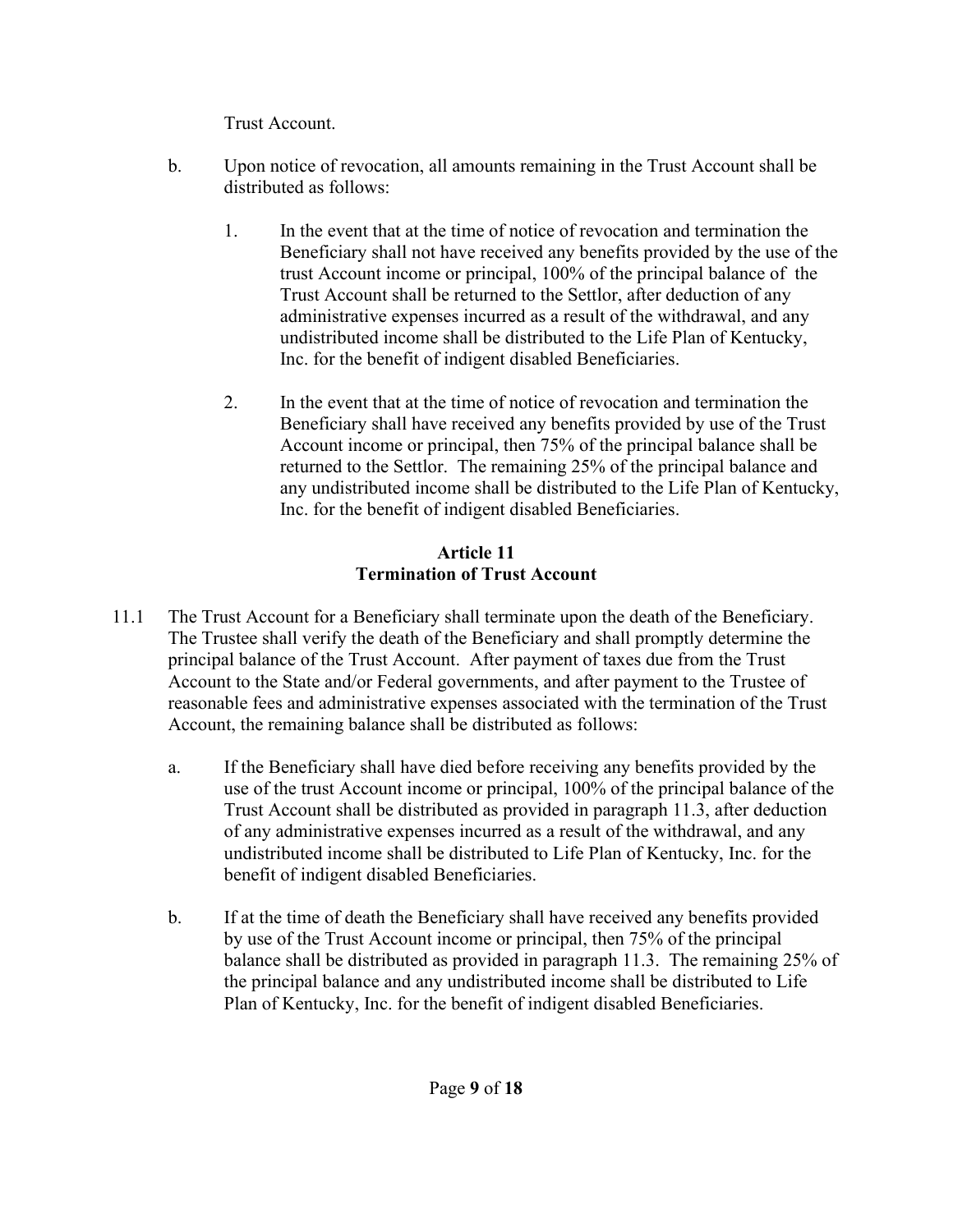Trust Account.

- b. Upon notice of revocation, all amounts remaining in the Trust Account shall be distributed as follows:
	- 1. In the event that at the time of notice of revocation and termination the Beneficiary shall not have received any benefits provided by the use of the trust Account income or principal, 100% of the principal balance of the Trust Account shall be returned to the Settlor, after deduction of any administrative expenses incurred as a result of the withdrawal, and any undistributed income shall be distributed to the Life Plan of Kentucky, Inc. for the benefit of indigent disabled Beneficiaries.
	- 2. In the event that at the time of notice of revocation and termination the Beneficiary shall have received any benefits provided by use of the Trust Account income or principal, then 75% of the principal balance shall be returned to the Settlor. The remaining 25% of the principal balance and any undistributed income shall be distributed to the Life Plan of Kentucky, Inc. for the benefit of indigent disabled Beneficiaries.

# **Article 11 Termination of Trust Account**

- 11.1 The Trust Account for a Beneficiary shall terminate upon the death of the Beneficiary. The Trustee shall verify the death of the Beneficiary and shall promptly determine the principal balance of the Trust Account. After payment of taxes due from the Trust Account to the State and/or Federal governments, and after payment to the Trustee of reasonable fees and administrative expenses associated with the termination of the Trust Account, the remaining balance shall be distributed as follows:
	- a. If the Beneficiary shall have died before receiving any benefits provided by the use of the trust Account income or principal, 100% of the principal balance of the Trust Account shall be distributed as provided in paragraph 11.3, after deduction of any administrative expenses incurred as a result of the withdrawal, and any undistributed income shall be distributed to Life Plan of Kentucky, Inc. for the benefit of indigent disabled Beneficiaries.
	- b. If at the time of death the Beneficiary shall have received any benefits provided by use of the Trust Account income or principal, then 75% of the principal balance shall be distributed as provided in paragraph 11.3. The remaining 25% of the principal balance and any undistributed income shall be distributed to Life Plan of Kentucky, Inc. for the benefit of indigent disabled Beneficiaries.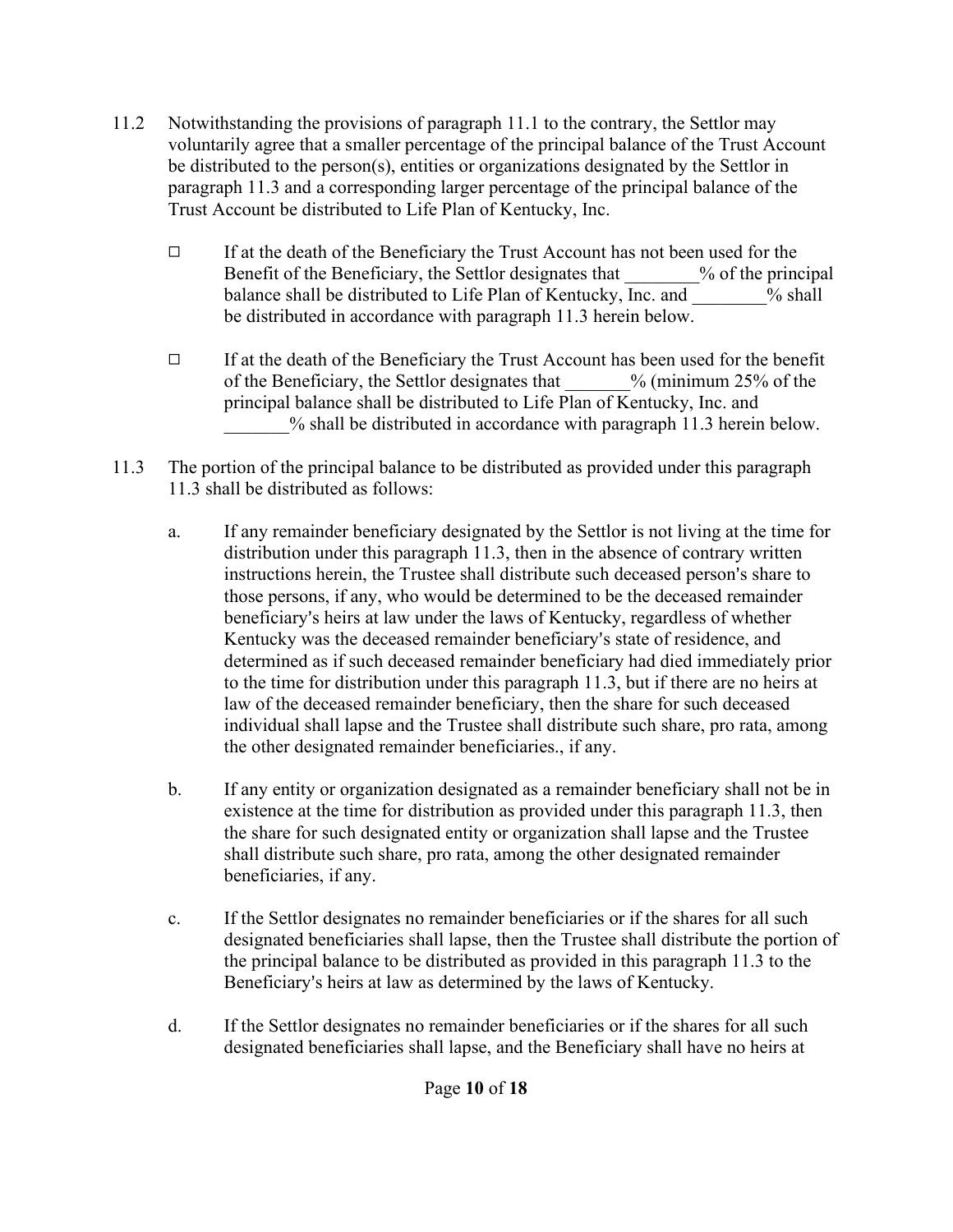- 11.2 Notwithstanding the provisions of paragraph 11.1 to the contrary, the Settlor may voluntarily agree that a smaller percentage of the principal balance of the Trust Account be distributed to the person(s), entities or organizations designated by the Settlor in paragraph 11.3 and a corresponding larger percentage of the principal balance of the Trust Account be distributed to Life Plan of Kentucky, Inc.
	- $\Box$  If at the death of the Beneficiary the Trust Account has not been used for the Benefit of the Beneficiary, the Settlor designates that  $\%$  of the principal balance shall be distributed to Life Plan of Kentucky, Inc. and  $\%$  shall be distributed in accordance with paragraph 11.3 herein below.
	- $\Box$  If at the death of the Beneficiary the Trust Account has been used for the benefit of the Beneficiary, the Settlor designates that  $\%$  (minimum 25% of the principal balance shall be distributed to Life Plan of Kentucky, Inc. and % shall be distributed in accordance with paragraph 11.3 herein below.
- 11.3 The portion of the principal balance to be distributed as provided under this paragraph 11.3 shall be distributed as follows:
	- a. If any remainder beneficiary designated by the Settlor is not living at the time for distribution under this paragraph 11.3, then in the absence of contrary written instructions herein, the Trustee shall distribute such deceased person's share to those persons, if any, who would be determined to be the deceased remainder beneficiary's heirs at law under the laws of Kentucky, regardless of whether Kentucky was the deceased remainder beneficiary's state of residence, and determined as if such deceased remainder beneficiary had died immediately prior to the time for distribution under this paragraph 11.3, but if there are no heirs at law of the deceased remainder beneficiary, then the share for such deceased individual shall lapse and the Trustee shall distribute such share, pro rata, among the other designated remainder beneficiaries., if any.
	- b. If any entity or organization designated as a remainder beneficiary shall not be in existence at the time for distribution as provided under this paragraph 11.3, then the share for such designated entity or organization shall lapse and the Trustee shall distribute such share, pro rata, among the other designated remainder beneficiaries, if any.
	- c. If the Settlor designates no remainder beneficiaries or if the shares for all such designated beneficiaries shall lapse, then the Trustee shall distribute the portion of the principal balance to be distributed as provided in this paragraph 11.3 to the Beneficiary's heirs at law as determined by the laws of Kentucky.
	- d. If the Settlor designates no remainder beneficiaries or if the shares for all such designated beneficiaries shall lapse, and the Beneficiary shall have no heirs at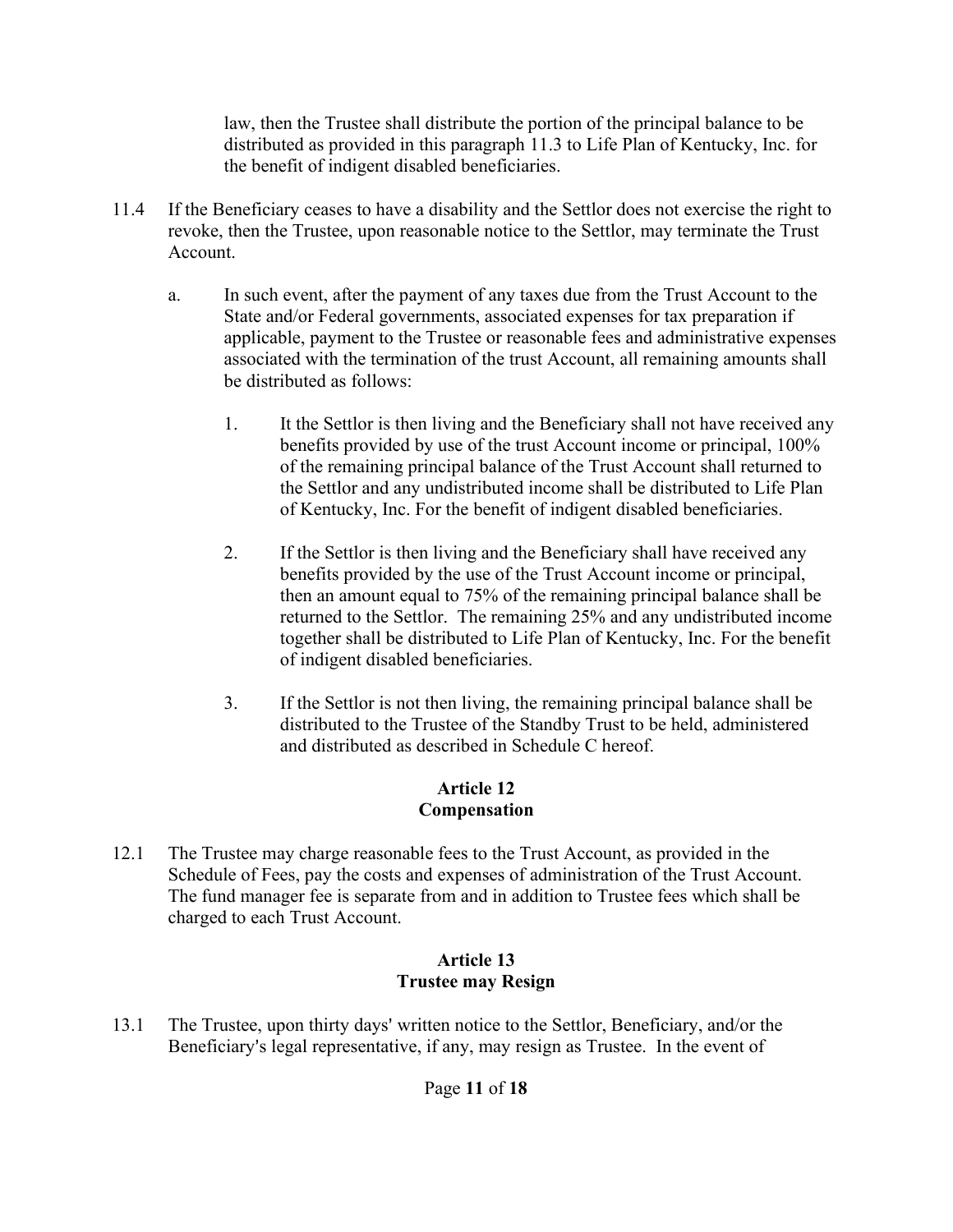law, then the Trustee shall distribute the portion of the principal balance to be distributed as provided in this paragraph 11.3 to Life Plan of Kentucky, Inc. for the benefit of indigent disabled beneficiaries.

- 11.4 If the Beneficiary ceases to have a disability and the Settlor does not exercise the right to revoke, then the Trustee, upon reasonable notice to the Settlor, may terminate the Trust Account.
	- a. In such event, after the payment of any taxes due from the Trust Account to the State and/or Federal governments, associated expenses for tax preparation if applicable, payment to the Trustee or reasonable fees and administrative expenses associated with the termination of the trust Account, all remaining amounts shall be distributed as follows:
		- 1. It the Settlor is then living and the Beneficiary shall not have received any benefits provided by use of the trust Account income or principal, 100% of the remaining principal balance of the Trust Account shall returned to the Settlor and any undistributed income shall be distributed to Life Plan of Kentucky, Inc. For the benefit of indigent disabled beneficiaries.
		- 2. If the Settlor is then living and the Beneficiary shall have received any benefits provided by the use of the Trust Account income or principal, then an amount equal to 75% of the remaining principal balance shall be returned to the Settlor. The remaining 25% and any undistributed income together shall be distributed to Life Plan of Kentucky, Inc. For the benefit of indigent disabled beneficiaries.
		- 3. If the Settlor is not then living, the remaining principal balance shall be distributed to the Trustee of the Standby Trust to be held, administered and distributed as described in Schedule C hereof.

# **Article 12 Compensation**

12.1 The Trustee may charge reasonable fees to the Trust Account, as provided in the Schedule of Fees, pay the costs and expenses of administration of the Trust Account. The fund manager fee is separate from and in addition to Trustee fees which shall be charged to each Trust Account.

## **Article 13 Trustee may Resign**

13.1 The Trustee, upon thirty days' written notice to the Settlor, Beneficiary, and/or the Beneficiary's legal representative, if any, may resign as Trustee. In the event of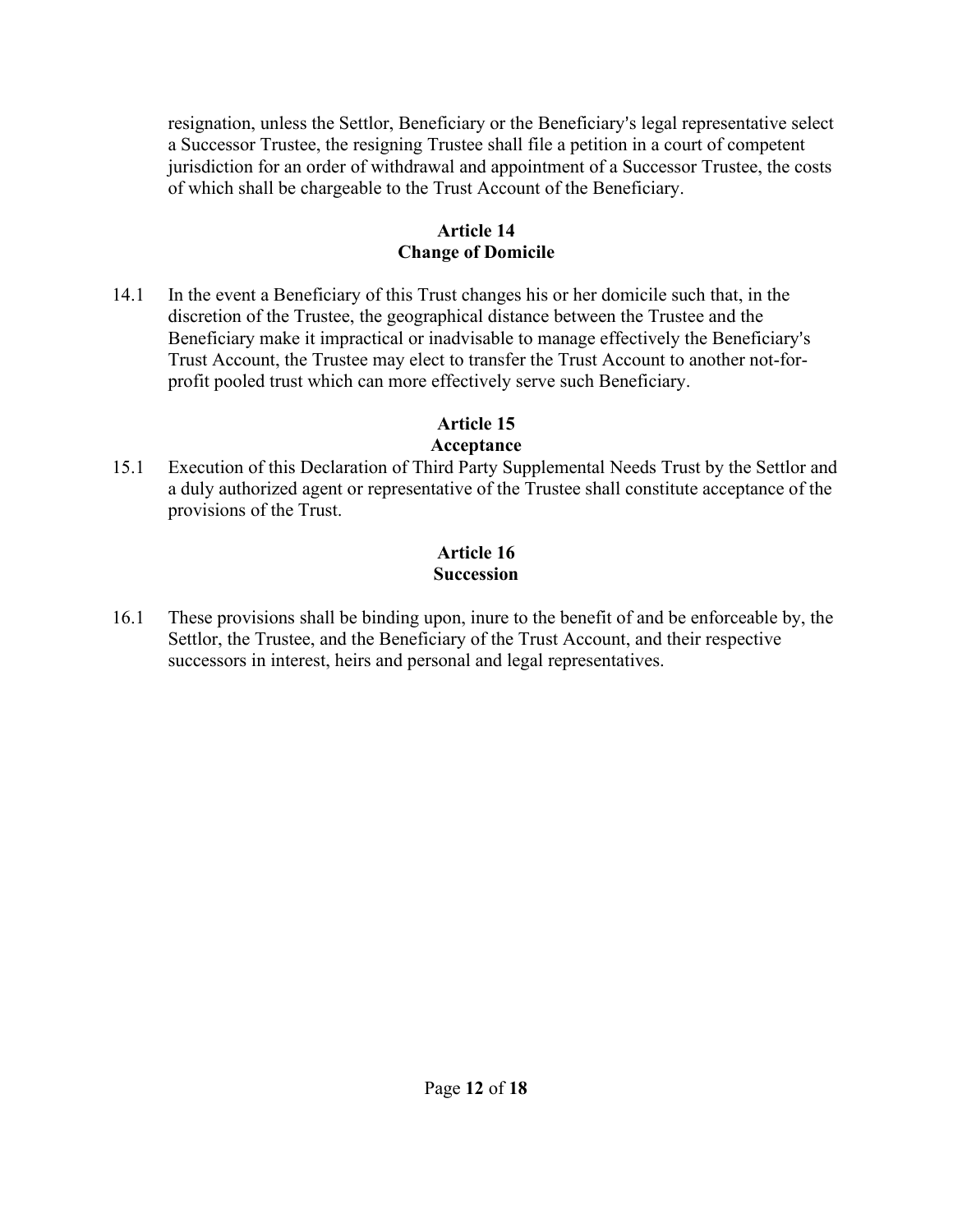resignation, unless the Settlor, Beneficiary or the Beneficiary's legal representative select a Successor Trustee, the resigning Trustee shall file a petition in a court of competent jurisdiction for an order of withdrawal and appointment of a Successor Trustee, the costs of which shall be chargeable to the Trust Account of the Beneficiary.

## **Article 14 Change of Domicile**

14.1 In the event a Beneficiary of this Trust changes his or her domicile such that, in the discretion of the Trustee, the geographical distance between the Trustee and the Beneficiary make it impractical or inadvisable to manage effectively the Beneficiary's Trust Account, the Trustee may elect to transfer the Trust Account to another not-forprofit pooled trust which can more effectively serve such Beneficiary.

## **Article 15**

## **Acceptance**

15.1 Execution of this Declaration of Third Party Supplemental Needs Trust by the Settlor and a duly authorized agent or representative of the Trustee shall constitute acceptance of the provisions of the Trust.

# **Article 16 Succession**

16.1 These provisions shall be binding upon, inure to the benefit of and be enforceable by, the Settlor, the Trustee, and the Beneficiary of the Trust Account, and their respective successors in interest, heirs and personal and legal representatives.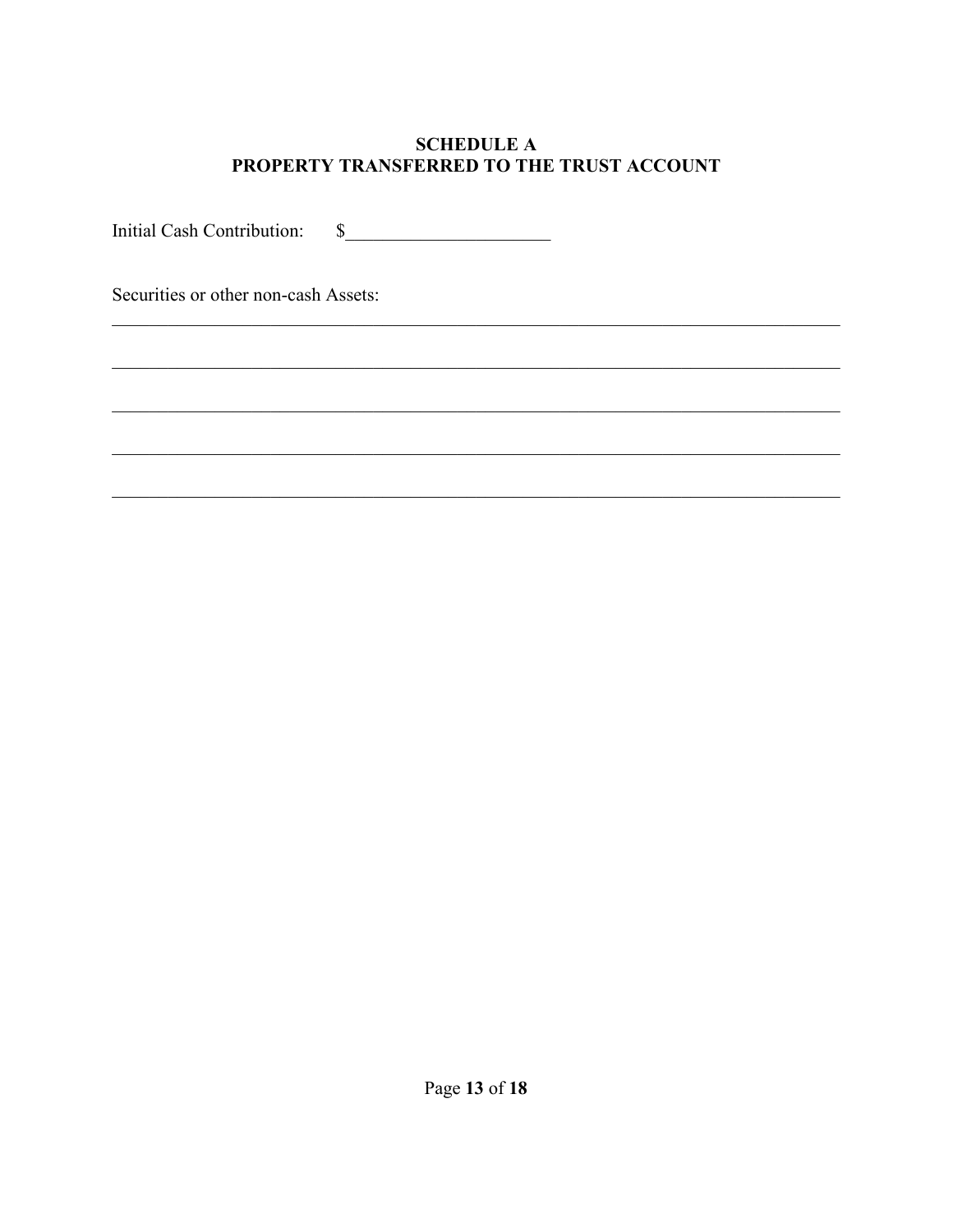## **SCHEDULE A** PROPERTY TRANSFERRED TO THE TRUST ACCOUNT

<u> 1989 - Johann Barbara, martxa amerikan bashkar (</u>

 $\begin{picture}(20,20)(-0,0) \put(0,0){\vector(1,0){100}} \put(15,0){\vector(1,0){100}} \put(15,0){\vector(1,0){100}} \put(15,0){\vector(1,0){100}} \put(15,0){\vector(1,0){100}} \put(15,0){\vector(1,0){100}} \put(15,0){\vector(1,0){100}} \put(15,0){\vector(1,0){100}} \put(15,0){\vector(1,0){100}} \put(15,0){\vector(1,0){100}} \put(15,0){\vector(1,0){$ Initial Cash Contribution:

Securities or other non-cash Assets: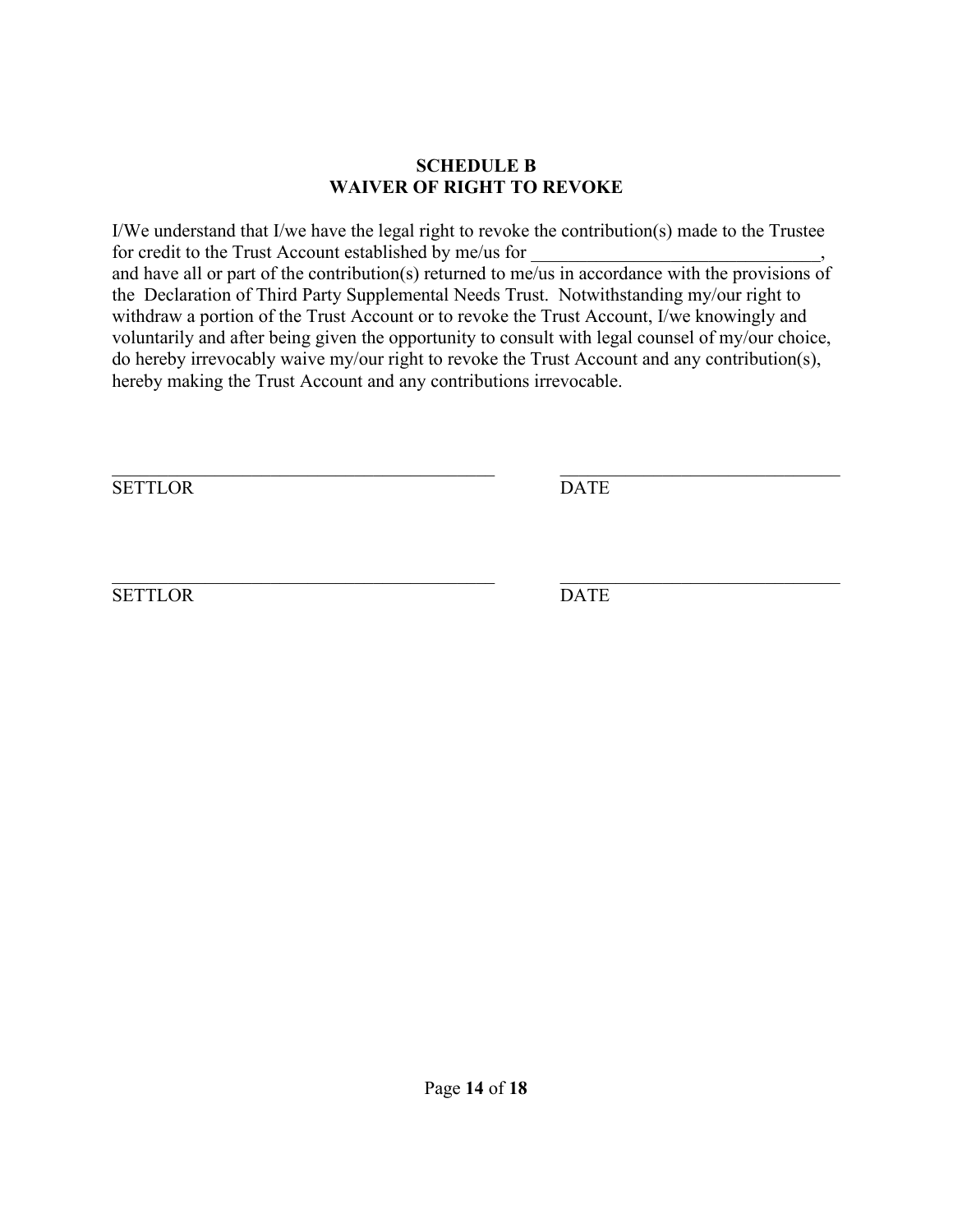#### **SCHEDULE B WAIVER OF RIGHT TO REVOKE**

I/We understand that I/we have the legal right to revoke the contribution(s) made to the Trustee for credit to the Trust Account established by me/us for and have all or part of the contribution(s) returned to me/us in accordance with the provisions of the Declaration of Third Party Supplemental Needs Trust. Notwithstanding my/our right to withdraw a portion of the Trust Account or to revoke the Trust Account, I/we knowingly and voluntarily and after being given the opportunity to consult with legal counsel of my/our choice, do hereby irrevocably waive my/our right to revoke the Trust Account and any contribution(s), hereby making the Trust Account and any contributions irrevocable.

SETTLOR DATE

 $\mathcal{L}_\text{max}$  , and the contribution of the contribution of the contribution of the contribution of the contribution of the contribution of the contribution of the contribution of the contribution of the contribution of t

SETTLOR DATE

 $\mathcal{L}_\text{max}$  , and the contribution of the contribution of the contribution of the contribution of the contribution of the contribution of the contribution of the contribution of the contribution of the contribution of t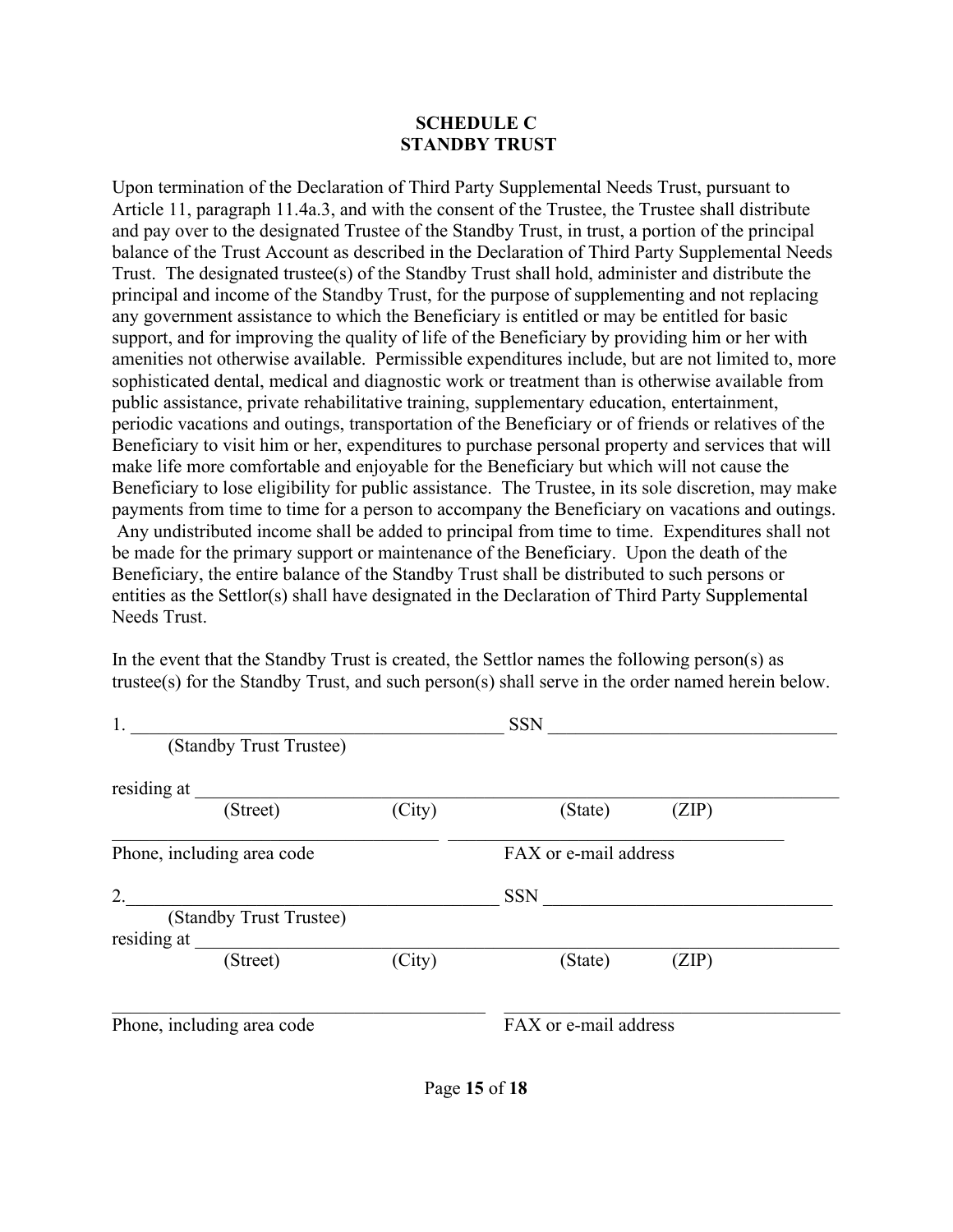#### **SCHEDULE C STANDBY TRUST**

Upon termination of the Declaration of Third Party Supplemental Needs Trust, pursuant to Article 11, paragraph 11.4a.3, and with the consent of the Trustee, the Trustee shall distribute and pay over to the designated Trustee of the Standby Trust, in trust, a portion of the principal balance of the Trust Account as described in the Declaration of Third Party Supplemental Needs Trust. The designated trustee(s) of the Standby Trust shall hold, administer and distribute the principal and income of the Standby Trust, for the purpose of supplementing and not replacing any government assistance to which the Beneficiary is entitled or may be entitled for basic support, and for improving the quality of life of the Beneficiary by providing him or her with amenities not otherwise available. Permissible expenditures include, but are not limited to, more sophisticated dental, medical and diagnostic work or treatment than is otherwise available from public assistance, private rehabilitative training, supplementary education, entertainment, periodic vacations and outings, transportation of the Beneficiary or of friends or relatives of the Beneficiary to visit him or her, expenditures to purchase personal property and services that will make life more comfortable and enjoyable for the Beneficiary but which will not cause the Beneficiary to lose eligibility for public assistance. The Trustee, in its sole discretion, may make payments from time to time for a person to accompany the Beneficiary on vacations and outings. Any undistributed income shall be added to principal from time to time. Expenditures shall not be made for the primary support or maintenance of the Beneficiary. Upon the death of the Beneficiary, the entire balance of the Standby Trust shall be distributed to such persons or entities as the Settlor(s) shall have designated in the Declaration of Third Party Supplemental Needs Trust.

In the event that the Standby Trust is created, the Settlor names the following person(s) as trustee(s) for the Standby Trust, and such person(s) shall serve in the order named herein below.

| 1.                         |        | <b>SSN</b>            |       |  |
|----------------------------|--------|-----------------------|-------|--|
| (Standby Trust Trustee)    |        |                       |       |  |
| residing at                |        |                       |       |  |
| (Street)                   | (City) | (State)               | (ZIP) |  |
| Phone, including area code |        | FAX or e-mail address |       |  |
| 2.                         |        | <b>SSN</b>            |       |  |
| (Standby Trust Trustee)    |        |                       |       |  |
| residing at                |        |                       |       |  |
| (Street)                   | (City) | (State)               | (ZIP) |  |
|                            |        |                       |       |  |
| Phone, including area code |        | FAX or e-mail address |       |  |
|                            |        |                       |       |  |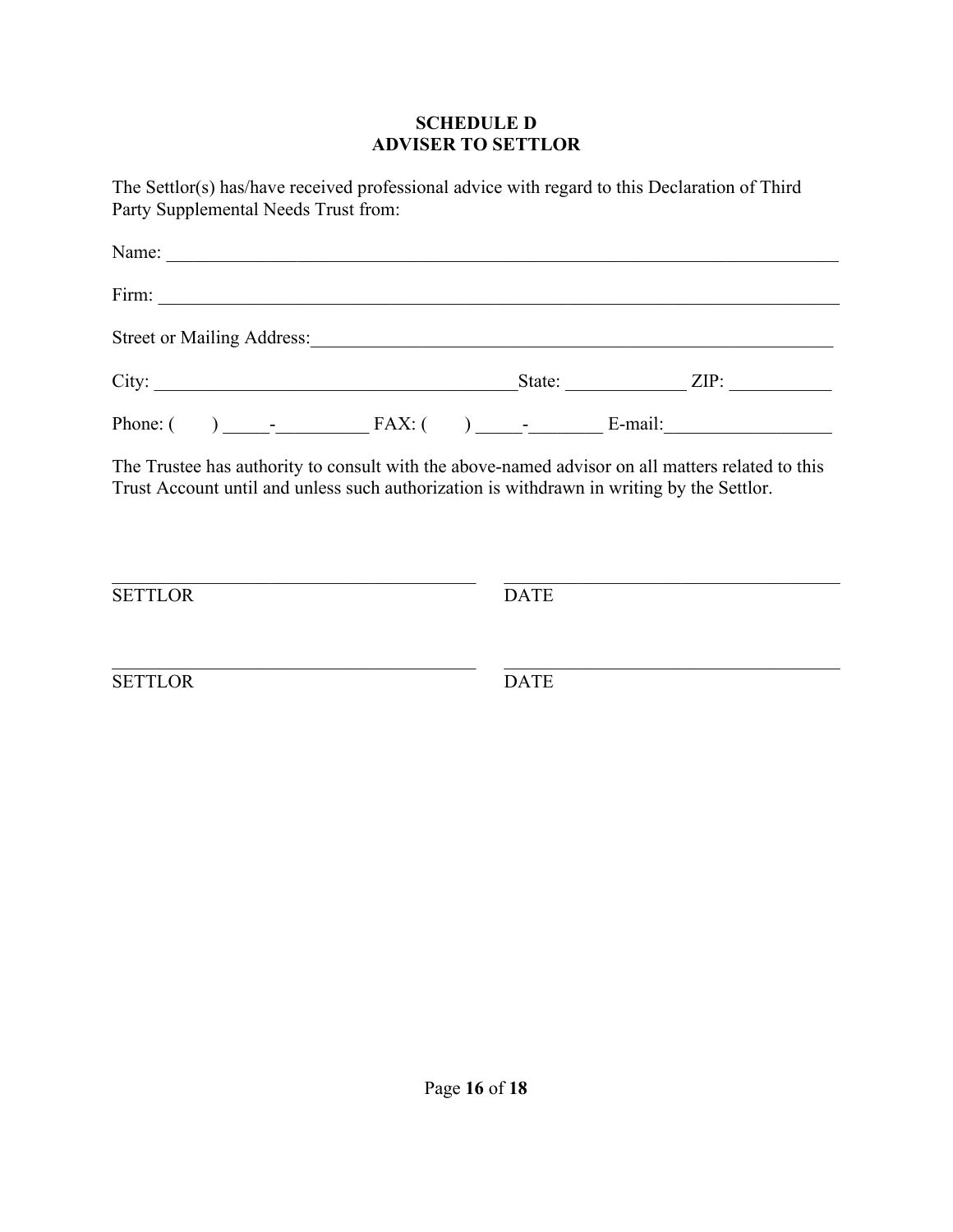#### **SCHEDULE D ADVISER TO SETTLOR**

The Settlor(s) has/have received professional advice with regard to this Declaration of Third Party Supplemental Needs Trust from:

| Street or Mailing Address: Contact the Contract of Mailing Address:                                                                                                                           |  |  |             |  |               |
|-----------------------------------------------------------------------------------------------------------------------------------------------------------------------------------------------|--|--|-------------|--|---------------|
| City:                                                                                                                                                                                         |  |  |             |  | State: $ZIP:$ |
|                                                                                                                                                                                               |  |  |             |  |               |
| The Trustee has authority to consult with the above-named advisor on all matters related to this<br>Trust Account until and unless such authorization is withdrawn in writing by the Settlor. |  |  |             |  |               |
|                                                                                                                                                                                               |  |  |             |  |               |
| <b>SETTLOR</b>                                                                                                                                                                                |  |  | <b>DATE</b> |  |               |
|                                                                                                                                                                                               |  |  |             |  |               |

SETTLOR DATE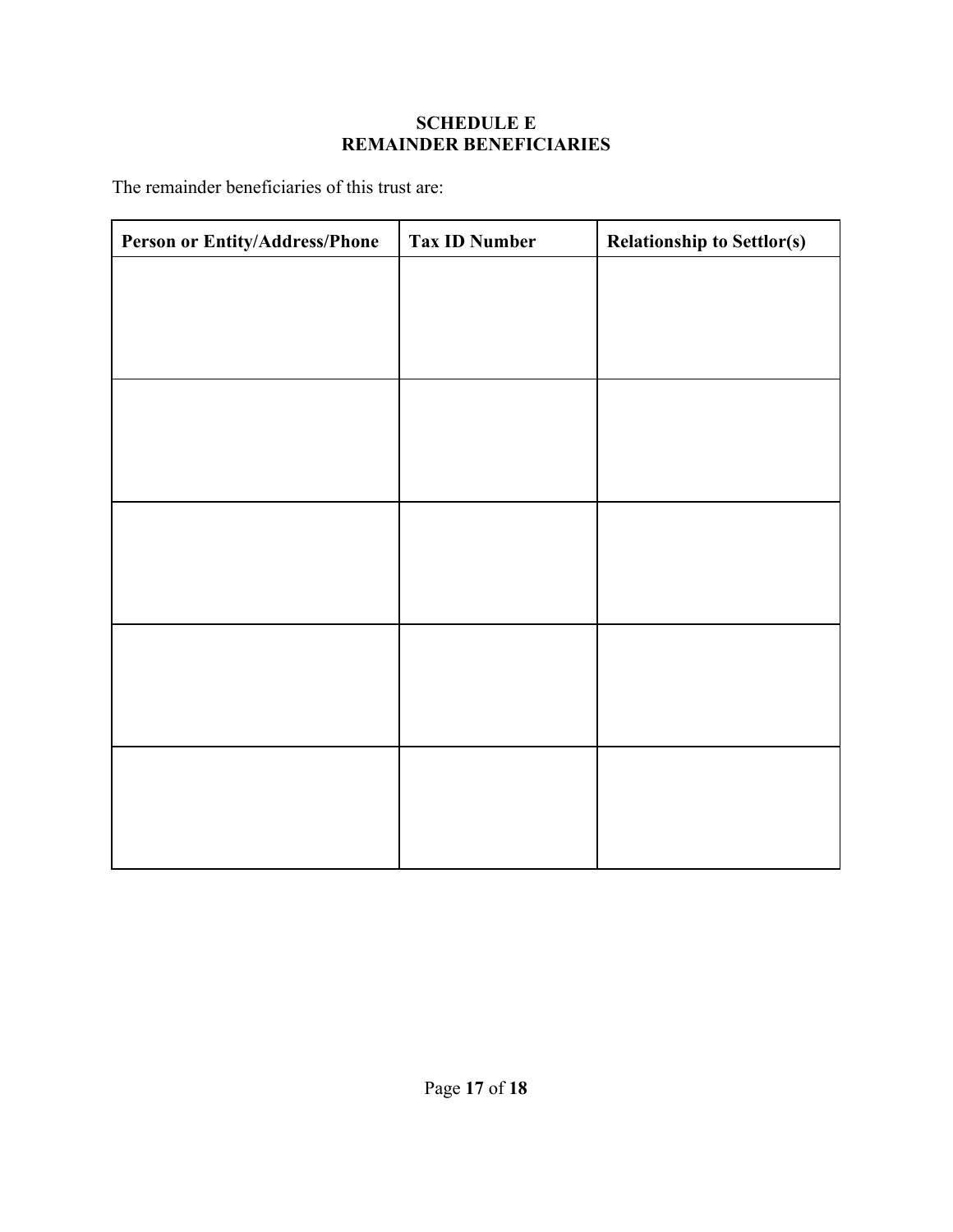## **SCHEDULE E REMAINDER BENEFICIARIES**

The remainder beneficiaries of this trust are:

| Person or Entity/Address/Phone | <b>Tax ID Number</b> | <b>Relationship to Settlor(s)</b> |
|--------------------------------|----------------------|-----------------------------------|
|                                |                      |                                   |
|                                |                      |                                   |
|                                |                      |                                   |
|                                |                      |                                   |
|                                |                      |                                   |
|                                |                      |                                   |
|                                |                      |                                   |
|                                |                      |                                   |
|                                |                      |                                   |
|                                |                      |                                   |
|                                |                      |                                   |
|                                |                      |                                   |
|                                |                      |                                   |
|                                |                      |                                   |
|                                |                      |                                   |
|                                |                      |                                   |
|                                |                      |                                   |
|                                |                      |                                   |